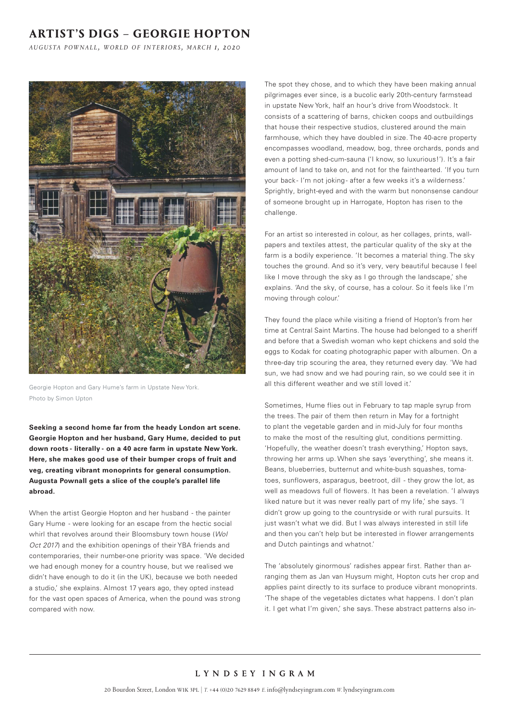## **ARTIST'S DIGS – GEORGIE HOPTON**

*a u g u s ta p o w n a l l , w o r l d o f i n t e r i o r s , m a r c h 1, 2020*



Georgie Hopton and Gary Hume's farm in Upstate New York. Photo by Simon Upton

**Seeking a second home far from the heady London art scene. Georgie Hopton and her husband, Gary Hume, decided to put down roots - literally - on a 40 acre farm in upstate New York. Here, she makes good use of their bumper crops of fruit and veg, creating vibrant monoprints for general consumption. Augusta Pownall gets a slice of the couple's parallel life abroad.**

When the artist Georgie Hopton and her husband - the painter Gary Hume - were looking for an escape from the hectic social whirl that revolves around their Bloomsbury town house (*WoI Oct 2017*) and the exhibition openings of their YBA friends and contemporaries, their number-one priority was space. 'We decided we had enough money for a country house, but we realised we didn't have enough to do it (in the UK), because we both needed a studio,' she explains. AImost 17 years ago, they opted instead for the vast open spaces of America, when the pound was strong compared with now.

The spot they chose, and to which they have been making annual pilgrimages ever since, is a bucolic early 20th-century farmstead in upstate New York, half an hour's drive from Woodstock. It consists of a scattering of barns, chicken coops and outbuildings that house their respective studios, clustered around the main farmhouse, which they have doubled in size. The 40-acre property encompasses woodland, meadow, bog, three orchards, ponds and even a potting shed-cum-sauna ('I know, so luxurious!'). It's a fair amount of land to take on, and not for the fainthearted. 'If you turn your back-I'm not joking- after a few weeks it's a wilderness.' Sprightly, bright-eyed and with the warm but nononsense candour of someone brought up in Harrogate, Hopton has risen to the challenge.

For an artist so interested in colour, as her collages, prints, wallpapers and textiles attest, the particular quality of the sky at the farm is a bodily experience. 'It becomes a material thing. The sky touches the ground. And so it's very, very beautiful because I feel like I move through the sky as I go through the landscape,' she explains. 'And the sky, of course, has a colour. So it feels like I'm moving through colour.'

They found the place while visiting a friend of Hopton's from her time at Central Saint Martins. The house had belonged to a sheriff and before that a Swedish woman who kept chickens and sold the eggs to Kodak for coating photographic paper with albumen. On a three-day trip scouring the area, they returned every day. 'We had sun, we had snow and we had pouring rain, so we could see it in all this different weather and we still loved it.'

Sometimes, Hume flies out in February to tap maple syrup from the trees. The pair of them then return in May for a fortnight to plant the vegetable garden and in mid-July for four months to make the most of the resulting glut, conditions permitting. 'Hopefully, the weather doesn't trash everything,' Hopton says, throwing her arms up. When she says 'everything', she means it. Beans, blueberries, butternut and white-bush squashes, tomatoes, sunflowers, asparagus, beetroot, dill - they grow the lot, as well as meadows full of flowers. It has been a revelation. 'I always liked nature but it was never really part of my life,' she says. 'I didn't grow up going to the countryside or with rural pursuits. It just wasn't what we did. But I was always interested in still life and then you can't help but be interested in flower arrangements and Dutch paintings and whatnot.'

The 'absolutely ginormous' radishes appear first. Rather than arranging them as Jan van Huysum might, Hopton cuts her crop and applies paint directly to its surface to produce vibrant monoprints. 'The shape of the vegetables dictates what happens. I don't plan it. I get what I'm given,' she says. These abstract patterns also in